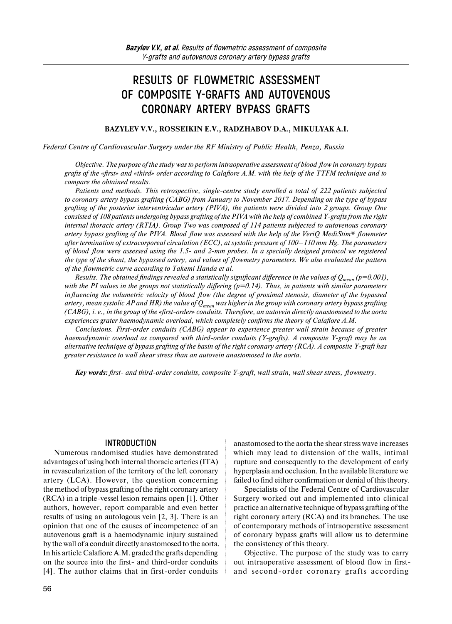# **RESULTS OF FLOWMETRIC ASSESSMENT OF COMPOSITE Y-GRAFTS AND AUTOVENOUS CORONARY ARTERY BYPASS GRAFTS**

#### **BAZYLEV V.V., ROSSEIKIN E.V., RADZHABOV D.A., MIKULYAK A.I.**

#### *Federal Centre of Cardiovascular Surgery under the RF Ministry of Public Health, Penza, Russia*

*Objective. The purpose of the study was to perform intraoperative assessment of blood flow in coronary bypass grafts of the «first» and «third» order according to Calafiore A.M. with the help of the TTFM technique and to compare the obtained results.*

*Patients and methods. This retrospective, single-centre study enrolled a total of 222 patients subjected to coronary artery bypass grafting (CABG) from January to November 2017. Depending on the type of bypass grafting of the posterior interventricular artery (PIVA), the patients were divided into 2 groups. Group One consisted of 108 patients undergoing bypass grafting of the PIVA with the help of combined Y-grafts from the right internal thoracic artery (RTIA). Group Two was composed of 114 patients subjected to autovenous coronary artery bypass grafting of the PIVA. Blood flow was assessed with the help of the VeriQ MediStim® flowmeter after termination of extracorporeal circulation (ECC), at systolic pressure of 100–110 mm Hg. The parameters of blood flow were assessed using the 1.5- and 2-mm probes. In a specially designed protocol we registered the type of the shunt, the bypassed artery, and values of flowmetry parameters. We also evaluated the pattern of the flowmetric curve according to Takemi Handa et al.*

*Results. The obtained findings revealed a statistically significant difference in the values of*  $Q_{mean}(p=0.001)$ *, with the PI values in the groups not statistically differing (p=0.14). Thus, in patients with similar parameters influencing the volumetric velocity of blood flow (the degree of proximal stenosis, diameter of the bypassed artery, mean systolic AP and HR) the value of Qmean was higher in the group with coronary artery bypass grafting (CABG), i. e., in the group of the «first-order» conduits. Therefore, an autovein directly anastomosed to the aorta experiences grater haemodynamic overload, which completely confirms the theory of Calafiore A.M.*

*Conclusions. First-order conduits (CABG) appear to experience greater wall strain because of greater haemodynamic overload as compared with third-order conduits (Y-grafts). A composite Y-graft may be an alternative technique of bypass grafting of the basin of the right coronary artery (RCA). A composite Y-graft has greater resistance to wall shear stress than an autovein anastomosed to the aorta.*

*Key words: first- and third-order conduits, composite Y-graft, wall strain, wall shear stress, flowmetry.*

#### **INTRODUCTION**

Numerous randomised studies have demonstrated advantages of using both internal thoracic arteries (ITA) in revascularization of the territory of the left coronary artery (LCA). However, the question concerning the method of bypass grafting of the right coronary artery (RCA) in a triple-vessel lesion remains open [1]. Other authors, however, report comparable and even better results of using an autologous vein [2, 3]. There is an opinion that one of the causes of incompetence of an autovenous graft is a haemodynamic injury sustained by the wall of a conduit directly anastomosed to the aorta. In his article Calafiore A.M. graded the grafts depending on the source into the first- and third-order conduits [4]. The author claims that in first-order conduits

anastomosed to the aorta the shear stress wave increases which may lead to distension of the walls, intimal rupture and consequently to the development of early hyperplasia and occlusion. In the available literature we failed to find either confirmation or denial of this theory.

Specialists of the Federal Centre of Cardiovascular Surgery worked out and implemented into clinical practice an alternative technique of bypass grafting of the right coronary artery (RCA) and its branches. The use of contemporary methods of intraoperative assessment of coronary bypass grafts will allow us to determine the consistency of this theory.

Objective. The purpose of the study was to carry out intraoperative assessment of blood flow in firstand second-order coronary grafts according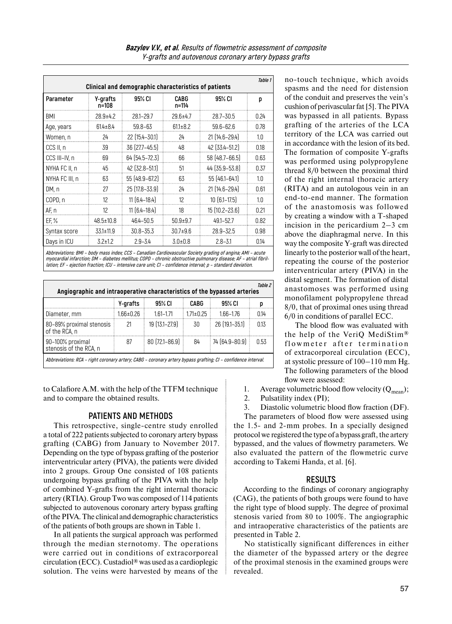| Table 1<br>Clinical and demographic characteristics of patients |                   |                    |                |                   |      |  |  |
|-----------------------------------------------------------------|-------------------|--------------------|----------------|-------------------|------|--|--|
| Parameter                                                       | Y-grafts<br>n=108 | 95% CI             | CABG<br>n=114  | 95% CI            | р    |  |  |
| BMI                                                             | $28.9 + 4.2$      | $28.1 - 29.7$      | $29.6 + 4.7$   | 28.7-30.5         | 0.24 |  |  |
| Age, years                                                      | $614 \pm 84$      | $59.8 - 63$        | $61.1 \pm 8.2$ | $59.6 - 62.6$     | 0.78 |  |  |
| Women, n                                                        | 24                | 22 (15.4 - 30.1)   | 24             | 21 (14.6-29.4)    | 1.0  |  |  |
| CCS II, n                                                       | 39                | 36 [27.7-45.5]     | 48             | 42 (33.4 - 51.2)  | 0.18 |  |  |
| CCS III-IV, n                                                   | 69                | 64 (54.5-72.3)     | 66             | 58 (48.7-66.5)    | 0.63 |  |  |
| NYHA FC II, n                                                   | 45                | 42 [32.8-51.1]     | 51             | 44 (35.9-53.8)    | 0.37 |  |  |
| NYHA FC III, n                                                  | 63                | 55 (48.9-67.2)     | 63             | 55 (46.1-64.1)    | 10   |  |  |
| DM, n                                                           | 27                | $25$ (17.8 – 33.9) | 24             | 21 (14.6-29.4)    | 0.61 |  |  |
| COPD, n                                                         | 12                | $11(6.4 - 18.4)$   | 12             | $10[6.1-17.5]$    | 1.0  |  |  |
| AF, n                                                           | 12                | $11(6.4 - 18.4)$   | 18             | $15[10.2 - 23.6]$ | 0.21 |  |  |
| EF, %                                                           | $48.5 \pm 10.8$   | 464-50.5           | $50.9 + 9.7$   | 49.1-52.7         | 0.82 |  |  |
| Syntax score                                                    | $33.1 \pm 11.9$   | $30.8 - 35.3$      | $30.7 + 9.6$   | 28.9-32.5         | 0.98 |  |  |
| Days in ICU                                                     | $3.2 \pm 1.2$     | $2.9 - 3.4$        | $3.0 \pm 0.8$  | $2.8 - 3.1$       | 0.14 |  |  |

**Abbreviations: BMI – body mass index; CCS – Canadian Cardiovascular Society grading of angina; AMI – acute myocardial infarction; DM – diabetes mellitus; COPD – chronic obstructive pulmonary disease; AF – atrial fibrillation; EF – ejection fraction; ICU – intensive care unit; CI – confidence interval; p – standard deviation.** 

| Table 2<br>Angiographic and intraoperative characteristics of the bypassed arteries                           |           |                   |                 |                |      |  |  |  |  |
|---------------------------------------------------------------------------------------------------------------|-----------|-------------------|-----------------|----------------|------|--|--|--|--|
|                                                                                                               | Y-grafts  | 95% CI            | CABG            | 95% CI         |      |  |  |  |  |
| Diameter, mm                                                                                                  | 1.66±0.26 | $161 - 171$       | $1.71 \pm 0.25$ | 166-176        | 014  |  |  |  |  |
| 80-89% proximal stenosis<br>of the RCA, n                                                                     | 21        | 19 (13.1-27.9)    | -30             | 26 (19.1-35.1) | 013  |  |  |  |  |
| 90-100% proximal<br>stenosis of the RCA, n                                                                    | 87        | $80(72.1 - 86.9)$ | 84              | 74 (64.9-80.9) | 0.53 |  |  |  |  |
| Abbreviations: RCA - right coronary artery; CABG - coronary artery bypass grafting; CI - confidence interval. |           |                   |                 |                |      |  |  |  |  |

to Calafiore A.M. with the help of the TTFM technique and to compare the obtained results.

#### **PATIENTS AND METHODS**

This retrospective, single-centre study enrolled a total of 222 patients subjected to coronary artery bypass grafting (CABG) from January to November 2017. Depending on the type of bypass grafting of the posterior interventricular artery (PIVA), the patients were divided into 2 groups. Group One consisted of 108 patients undergoing bypass grafting of the PIVA with the help of combined Y-grafts from the right internal thoracic artery (RTIA). Group Two was composed of 114 patients subjected to autovenous coronary artery bypass grafting ofthe PIVA. The clinical and demographic characteristics of the patients of both groups are shown in Table 1.

In all patients the surgical approach was performed through the median sternotomy. The operations were carried out in conditions of extracorporeal circulation (ECC). Custadiol® was used as a cardioplegic solution. The veins were harvested by means of the

no-touch technique, which avoids spasms and the need for distension of the conduit and preserves the vein's cushion of perivascular fat [5]. The PIVA was bypassed in all patients. Bypass grafting of the arteries of the LCA territory of the LCA was carried out in accordance with the lesion of its bed. The formation of composite Y-grafts was performed using polypropylene thread 8/0 between the proximal third of the right internal thoracic artery (RITA) and an autologous vein in an end-to-end manner. The formation of the anastomosis was followed by creating a window with a T-shaped incision in the pericardium 2–3 cm above the diaphragmal nerve. In this way the composite Y-graft was directed linearly to the posterior wall of the heart, repeating the course of the posterior interventricular artery (PIVA) in the distal segment. The formation of distal anastomoses was performed using monofilament polypropylene thread 8/0, that of proximal ones using thread 6/0 in conditions of parallel ECC.

The blood flow was evaluated with the help of the VeriQ MediStim® flowmeter after termination of extracorporeal circulation (ECC), at systolic pressure of 100–110 mm Hg. The following parameters of the blood flow were assessed:

1. Average volumetric blood flow velocity  $(Q_{mean});$ <br>2. Pulsatility index (PI);

Pulsatility index (PI);

3. Diastolic volumetric blood flow fraction (DF).

The parameters of blood flow were assessed using the 1.5- and 2-mm probes. In a specially designed protocol we registered the type of a bypass graft, the artery bypassed, and the values of flowmetry parameters. We also evaluated the pattern of the flowmetric curve according to Takemi Handa, et al. [6].

#### **RESULTS**

According to the findings of coronary angiography (CAG), the patients of both groups were found to have the right type of blood supply. The degree of proximal stenosis varied from 80 to 100%. The angiographic and intraoperative characteristics of the patients are presented in Table 2.

No statistically significant differences in either the diameter of the bypassed artery or the degree of the proximal stenosis in the examined groups were revealed.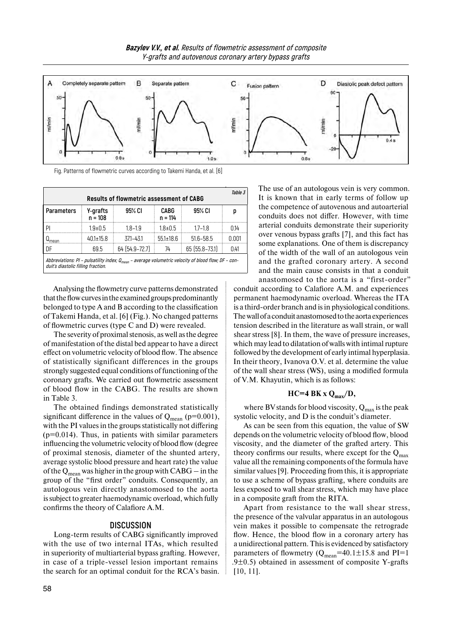

Fig. Patterns of flowmetric curves according to Takemi Handa, et al. [6]

| Table 3<br><b>Results of flowmetric assessment of CABG</b>                                                                                     |                       |                |                   |                |       |  |  |
|------------------------------------------------------------------------------------------------------------------------------------------------|-----------------------|----------------|-------------------|----------------|-------|--|--|
| <b>Parameters</b>                                                                                                                              | Y-grafts<br>$n = 108$ | 95% CI         | CABG<br>$n = 114$ | 95% CI         |       |  |  |
| ΡI                                                                                                                                             | 1 ዓ+በ 5               | 18–19          | $18 + 05$         | $17 - 18$      | በ14   |  |  |
| mear                                                                                                                                           | $40.1 \pm 15.8$       | 371-431        | $55.1 \pm 18.6$   | $51.6 - 58.5$  | N 001 |  |  |
| ΠF                                                                                                                                             | 695                   | 64 (54.9-72.7) | 74                | 65 (55.8–73.1) | O 41  |  |  |
| Abbreviations: PI - pulsatility index; $Q_{mean}$ - average volumetric velocity of blood flow; DF - con-<br>duit's diastolic filling fraction. |                       |                |                   |                |       |  |  |

Analysing the flowmetry curve patterns demonstrated that the flow curves in the examined groups predominantly belonged to type A and B according to the classification of Takemi Handa, et al. [6] (Fig.). No changed patterns of flowmetric curves (type C and D) were revealed.

The severity of proximal stenosis, as well as the degree of manifestation of the distal bed appear to have a direct effect on volumetric velocity of blood flow. The absence of statistically significant differences in the groups strongly suggested equal conditions of functioning of the coronary grafts. We carried out flowmetric assessment of blood flow in the CABG. The results are shown in Table 3.

The obtained findings demonstrated statistically significant difference in the values of  $Q_{mean}$  (p=0.001), with the PI values in the groups statistically not differing  $(p=0.014)$ . Thus, in patients with similar parameters influencing the volumetric velocity of blood flow (degree of proximal stenosis, diameter of the shunted artery, average systolic blood pressure and heart rate) the value of the  $Q_{mean}$  was higher in the group with  $CABG - in$  the group of the "first order" conduits. Consequently, an autologous vein directly anastomosed to the aorta issubject to greater haemodynamic overload, which fully confirms the theory of Calafiore A.M.

#### **DISCUSSION**

Long-term results of CABG significantly improved with the use of two internal ITAs, which resulted in superiority of multiarterial bypass grafting. However, in case of a triple-vessel lesion important remains the search for an optimal conduit for the RCA's basin.

The use of an autologous vein is very common. It is known that in early terms of follow up the competence of autovenous and autoarterial conduits does not differ. However, with time arterial conduits demonstrate their superiority over venous bypass grafts [7], and this fact has some explanations. One of them is discrepancy of the width of the wall of an autologous vein and the grafted coronary artery. A second and the main cause consists in that a conduit anastomosed to the aorta is a "first-order"

conduit according to Calafiore A.M. and experiences permanent haemodynamic overload. Whereas the ITA is a third-order branch and is in physiological conditions. Thewall of aconduit anastomosed tothe aorta experiences tension described in the literature as wall strain, or wall shear stress [8]. In them, the wave of pressure increases, which may lead to dilatation ofwalls with intimal rupture followed by the development of early intimal hyperplasia. In their theory, Ivanova O.V. et al. determine the value of the wall shear stress (WS), using a modified formula of V.M. Khayutin, which is as follows:

#### **НС=4 ВК х Qmax/D,**

where BV stands for blood viscosity,  $Q_{max}$  is the peak systolic velocity, and D is the conduit's diameter.

As can be seen from this equation, the value of SW depends on the volumetric velocity of blood flow, blood viscosity, and the diameter of the grafted artery. This theory confirms our results, where except for the  $Q_{\text{max}}$ value all the remaining components of the formula have similar values [9]. Proceeding from this, it is appropriate to use a scheme of bypass grafting, where conduits are less exposed to wall shear stress, which may have place in a composite graft from the RITA.

Apart from resistance to the wall shear stress, the presence of the valvular apparatus in an autologous vein makes it possible to compensate the retrograde flow. Hence, the blood flow in a coronary artery has a unidirectional pattern. This is evidenced by satisfactory parameters of flowmetry ( $Q_{mean}$ =40.1±15.8 and PI=1 .9 $\pm$ 0.5) obtained in assessment of composite Y-grafts [10, 11].